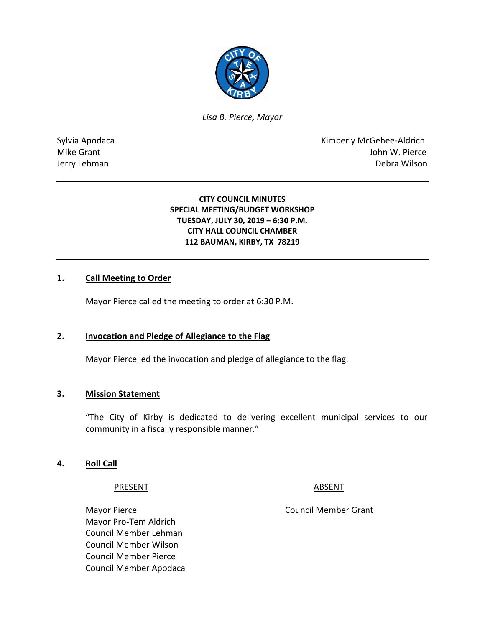

*Lisa B. Pierce, Mayor* 

Sylvia Apodaca **Kimberly McGehee-Aldrich** Mike Grant **Mike Grant** John W. Pierce Jerry Lehman Debra Wilson

> **CITY COUNCIL MINUTES SPECIAL MEETING/BUDGET WORKSHOP TUESDAY, JULY 30, 2019 – 6:30 P.M. CITY HALL COUNCIL CHAMBER 112 BAUMAN, KIRBY, TX 78219**

### **1. Call Meeting to Order**

Mayor Pierce called the meeting to order at 6:30 P.M.

### **2. Invocation and Pledge of Allegiance to the Flag**

Mayor Pierce led the invocation and pledge of allegiance to the flag.

### **3. Mission Statement**

"The City of Kirby is dedicated to delivering excellent municipal services to our community in a fiscally responsible manner."

### **4. Roll Call**

### PRESENT ABSENT

Mayor Pro-Tem Aldrich Council Member Lehman Council Member Wilson Council Member Pierce Council Member Apodaca

Mayor Pierce **Council Member Grant**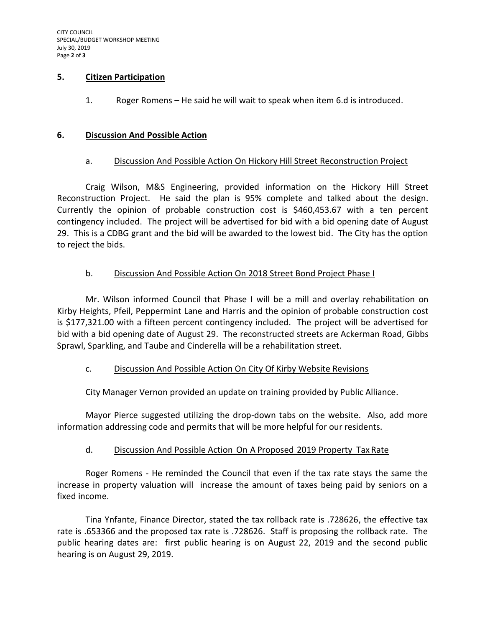## **5. Citizen Participation**

1. Roger Romens – He said he will wait to speak when item 6.d is introduced.

# **6. Discussion And Possible Action**

# a. Discussion And Possible Action On Hickory Hill Street Reconstruction Project

Craig Wilson, M&S Engineering, provided information on the Hickory Hill Street Reconstruction Project. He said the plan is 95% complete and talked about the design. Currently the opinion of probable construction cost is \$460,453.67 with a ten percent contingency included. The project will be advertised for bid with a bid opening date of August 29. This is a CDBG grant and the bid will be awarded to the lowest bid. The City has the option to reject the bids.

# b. Discussion And Possible Action On 2018 Street Bond Project Phase I

Mr. Wilson informed Council that Phase I will be a mill and overlay rehabilitation on Kirby Heights, Pfeil, Peppermint Lane and Harris and the opinion of probable construction cost is \$177,321.00 with a fifteen percent contingency included. The project will be advertised for bid with a bid opening date of August 29. The reconstructed streets are Ackerman Road, Gibbs Sprawl, Sparkling, and Taube and Cinderella will be a rehabilitation street.

# c. Discussion And Possible Action On City Of Kirby Website Revisions

City Manager Vernon provided an update on training provided by Public Alliance.

Mayor Pierce suggested utilizing the drop-down tabs on the website. Also, add more information addressing code and permits that will be more helpful for our residents.

# d. Discussion And Possible Action On A Proposed 2019 Property Tax Rate

Roger Romens - He reminded the Council that even if the tax rate stays the same the increase in property valuation will increase the amount of taxes being paid by seniors on a fixed income.

Tina Ynfante, Finance Director, stated the tax rollback rate is .728626, the effective tax rate is .653366 and the proposed tax rate is .728626. Staff is proposing the rollback rate. The public hearing dates are: first public hearing is on August 22, 2019 and the second public hearing is on August 29, 2019.